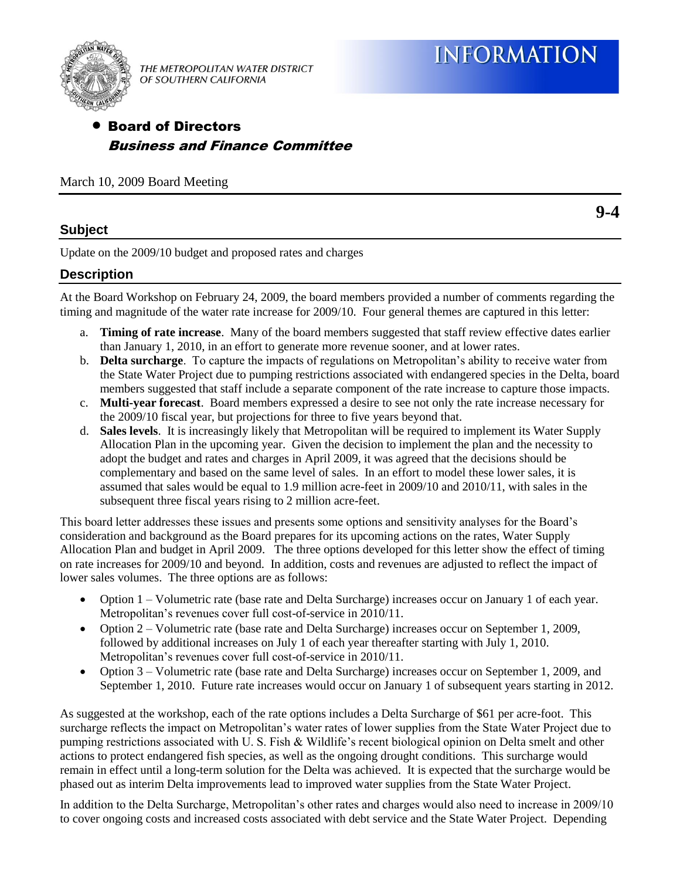

THE METROPOLITAN WATER DISTRICT OF SOUTHERN CALIFORNIA

# Board of Directors Business and Finance Committee

March 10, 2009 Board Meeting

### **Subject**

**9-4**

Update on the 2009/10 budget and proposed rates and charges

#### **Description**

At the Board Workshop on February 24, 2009, the board members provided a number of comments regarding the timing and magnitude of the water rate increase for 2009/10. Four general themes are captured in this letter:

- a. **Timing of rate increase**. Many of the board members suggested that staff review effective dates earlier than January 1, 2010, in an effort to generate more revenue sooner, and at lower rates.
- b. **Delta surcharge**. To capture the impacts of regulations on Metropolitan's ability to receive water from the State Water Project due to pumping restrictions associated with endangered species in the Delta, board members suggested that staff include a separate component of the rate increase to capture those impacts.
- c. **Multi-year forecast**. Board members expressed a desire to see not only the rate increase necessary for the 2009/10 fiscal year, but projections for three to five years beyond that.
- d. **Sales levels**. It is increasingly likely that Metropolitan will be required to implement its Water Supply Allocation Plan in the upcoming year. Given the decision to implement the plan and the necessity to adopt the budget and rates and charges in April 2009, it was agreed that the decisions should be complementary and based on the same level of sales. In an effort to model these lower sales, it is assumed that sales would be equal to 1.9 million acre-feet in 2009/10 and 2010/11, with sales in the subsequent three fiscal years rising to 2 million acre-feet.

This board letter addresses these issues and presents some options and sensitivity analyses for the Board's consideration and background as the Board prepares for its upcoming actions on the rates, Water Supply Allocation Plan and budget in April 2009. The three options developed for this letter show the effect of timing on rate increases for 2009/10 and beyond. In addition, costs and revenues are adjusted to reflect the impact of lower sales volumes. The three options are as follows:

- Option 1 Volumetric rate (base rate and Delta Surcharge) increases occur on January 1 of each year. Metropolitan's revenues cover full cost-of-service in 2010/11.
- Option 2 Volumetric rate (base rate and Delta Surcharge) increases occur on September 1, 2009, followed by additional increases on July 1 of each year thereafter starting with July 1, 2010. Metropolitan's revenues cover full cost-of-service in 2010/11.
- Option 3 Volumetric rate (base rate and Delta Surcharge) increases occur on September 1, 2009, and September 1, 2010. Future rate increases would occur on January 1 of subsequent years starting in 2012.

As suggested at the workshop, each of the rate options includes a Delta Surcharge of \$61 per acre-foot. This surcharge reflects the impact on Metropolitan's water rates of lower supplies from the State Water Project due to pumping restrictions associated with U. S. Fish & Wildlife's recent biological opinion on Delta smelt and other actions to protect endangered fish species, as well as the ongoing drought conditions. This surcharge would remain in effect until a long-term solution for the Delta was achieved. It is expected that the surcharge would be phased out as interim Delta improvements lead to improved water supplies from the State Water Project.

In addition to the Delta Surcharge, Metropolitan's other rates and charges would also need to increase in 2009/10 to cover ongoing costs and increased costs associated with debt service and the State Water Project. Depending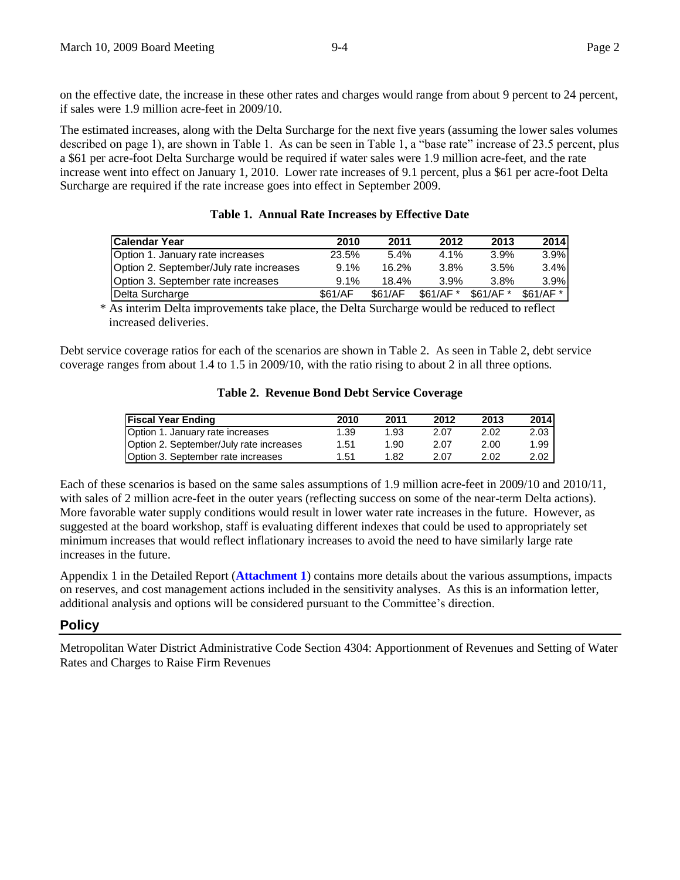on the effective date, the increase in these other rates and charges would range from about 9 percent to 24 percent, if sales were 1.9 million acre-feet in 2009/10.

The estimated increases, along with the Delta Surcharge for the next five years (assuming the lower sales volumes described on page 1), are shown in Table 1. As can be seen in Table 1, a "base rate" increase of 23.5 percent, plus a \$61 per acre-foot Delta Surcharge would be required if water sales were 1.9 million acre-feet, and the rate increase went into effect on January 1, 2010. Lower rate increases of 9.1 percent, plus a \$61 per acre-foot Delta Surcharge are required if the rate increase goes into effect in September 2009.

| <b>Calendar Year</b>                    | 2010    | 2011    | 2012      | 2013      | 2014      |
|-----------------------------------------|---------|---------|-----------|-----------|-----------|
| Option 1. January rate increases        | 23.5%   | 5.4%    | $4.1\%$   | 3.9%      | 3.9%      |
| Option 2. September/July rate increases | 9.1%    | 16.2%   | 3.8%      | 3.5%      | 3.4%      |
| Option 3. September rate increases      | 9.1%    | 18.4%   | 3.9%      | 3.8%      | 3.9%      |
| Delta Surcharge                         | \$61/AF | \$61/AF | $$61/AF*$ | $$61/AF*$ | $$61/AF*$ |
|                                         |         |         |           |           |           |

\* As interim Delta improvements take place, the Delta Surcharge would be reduced to reflect increased deliveries.

Debt service coverage ratios for each of the scenarios are shown in Table 2. As seen in Table 2, debt service coverage ranges from about 1.4 to 1.5 in 2009/10, with the ratio rising to about 2 in all three options.

#### **Table 2. Revenue Bond Debt Service Coverage**

| <b>Fiscal Year Ending</b>                 | 2010 | 2011 | 2012 | 2013 | 2014 |
|-------------------------------------------|------|------|------|------|------|
| Option 1. January rate increases          | 1.39 | 1.93 | 2.07 | 2.02 | 2.03 |
| Option 2. September/July rate increases   | 1.51 | 1.90 | 2.07 | 2.00 | 1.99 |
| <b>Option 3. September rate increases</b> | 1.51 | 1.82 | 2.07 | 2.02 | 2.02 |

Each of these scenarios is based on the same sales assumptions of 1.9 million acre-feet in 2009/10 and 2010/11, with sales of 2 million acre-feet in the outer years (reflecting success on some of the near-term Delta actions). More favorable water supply conditions would result in lower water rate increases in the future. However, as suggested at the board workshop, staff is evaluating different indexes that could be used to appropriately set minimum increases that would reflect inflationary increases to avoid the need to have similarly large rate increases in the future.

Appendix 1 in the Detailed Report (**Attachment 1**) contains more details about the various assumptions, impacts on reserves, and cost management actions included in the sensitivity analyses. As this is an information letter, additional analysis and options will be considered pursuant to the Committee's direction.

#### **Policy**

Metropolitan Water District Administrative Code Section 4304: Apportionment of Revenues and Setting of Water Rates and Charges to Raise Firm Revenues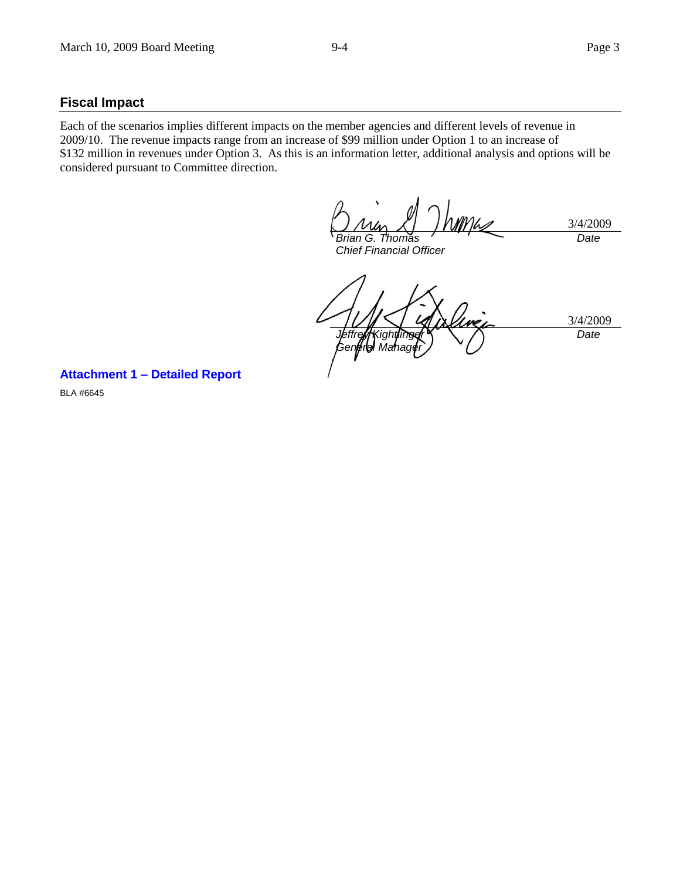#### **Fiscal Impact**

Each of the scenarios implies different impacts on the member agencies and different levels of revenue in 2009/10. The revenue impacts range from an increase of \$99 million under Option 1 to an increase of \$132 million in revenues under Option 3. As this is an information letter, additional analysis and options will be considered pursuant to Committee direction.

3/4/2009 *Brian G. Thomas Date*

*Chief Financial Officer*

3/4/2009 *Jeffrey Kightlinger Gen¢ral Manager Date*

**Attachment 1 – Detailed Report**

BLA #6645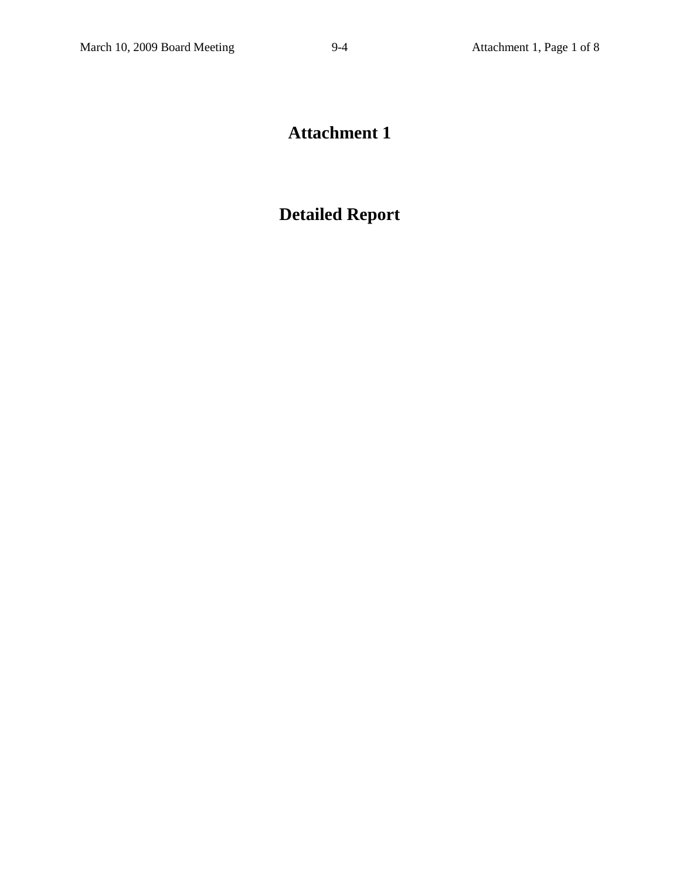# **Attachment 1**

# **Detailed Report**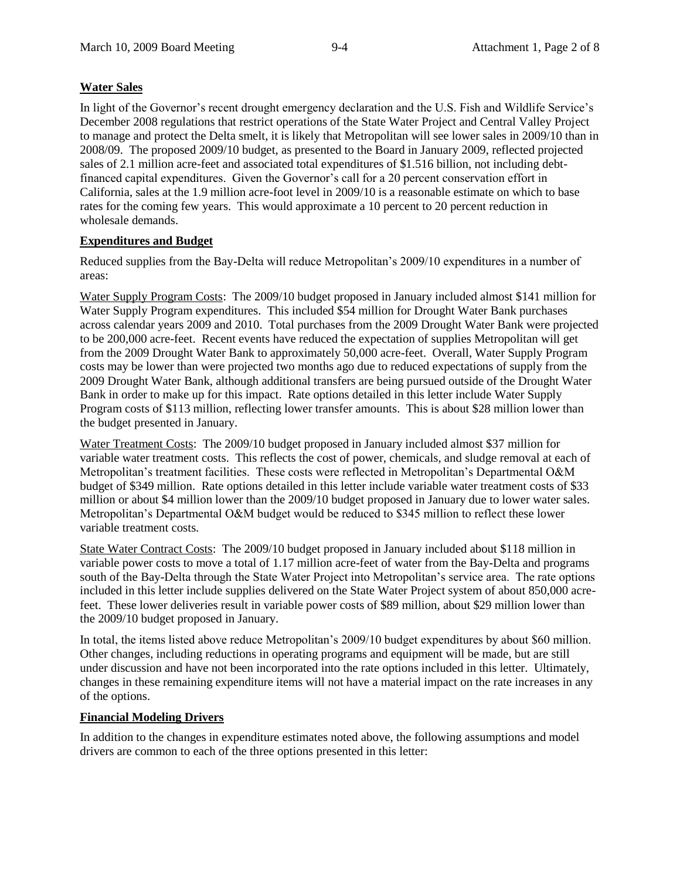### **Water Sales**

In light of the Governor's recent drought emergency declaration and the U.S. Fish and Wildlife Service's December 2008 regulations that restrict operations of the State Water Project and Central Valley Project to manage and protect the Delta smelt, it is likely that Metropolitan will see lower sales in 2009/10 than in 2008/09. The proposed 2009/10 budget, as presented to the Board in January 2009, reflected projected sales of 2.1 million acre-feet and associated total expenditures of \$1.516 billion, not including debtfinanced capital expenditures. Given the Governor's call for a 20 percent conservation effort in California, sales at the 1.9 million acre-foot level in 2009/10 is a reasonable estimate on which to base rates for the coming few years. This would approximate a 10 percent to 20 percent reduction in wholesale demands.

#### **Expenditures and Budget**

Reduced supplies from the Bay-Delta will reduce Metropolitan's 2009/10 expenditures in a number of areas:

Water Supply Program Costs: The 2009/10 budget proposed in January included almost \$141 million for Water Supply Program expenditures. This included \$54 million for Drought Water Bank purchases across calendar years 2009 and 2010. Total purchases from the 2009 Drought Water Bank were projected to be 200,000 acre-feet. Recent events have reduced the expectation of supplies Metropolitan will get from the 2009 Drought Water Bank to approximately 50,000 acre-feet. Overall, Water Supply Program costs may be lower than were projected two months ago due to reduced expectations of supply from the 2009 Drought Water Bank, although additional transfers are being pursued outside of the Drought Water Bank in order to make up for this impact. Rate options detailed in this letter include Water Supply Program costs of \$113 million, reflecting lower transfer amounts. This is about \$28 million lower than the budget presented in January.

Water Treatment Costs: The 2009/10 budget proposed in January included almost \$37 million for variable water treatment costs. This reflects the cost of power, chemicals, and sludge removal at each of Metropolitan's treatment facilities. These costs were reflected in Metropolitan's Departmental O&M budget of \$349 million. Rate options detailed in this letter include variable water treatment costs of \$33 million or about \$4 million lower than the 2009/10 budget proposed in January due to lower water sales. Metropolitan's Departmental O&M budget would be reduced to \$345 million to reflect these lower variable treatment costs.

State Water Contract Costs: The 2009/10 budget proposed in January included about \$118 million in variable power costs to move a total of 1.17 million acre-feet of water from the Bay-Delta and programs south of the Bay-Delta through the State Water Project into Metropolitan's service area. The rate options included in this letter include supplies delivered on the State Water Project system of about 850,000 acrefeet. These lower deliveries result in variable power costs of \$89 million, about \$29 million lower than the 2009/10 budget proposed in January.

In total, the items listed above reduce Metropolitan's 2009/10 budget expenditures by about \$60 million. Other changes, including reductions in operating programs and equipment will be made, but are still under discussion and have not been incorporated into the rate options included in this letter. Ultimately, changes in these remaining expenditure items will not have a material impact on the rate increases in any of the options.

#### **Financial Modeling Drivers**

In addition to the changes in expenditure estimates noted above, the following assumptions and model drivers are common to each of the three options presented in this letter: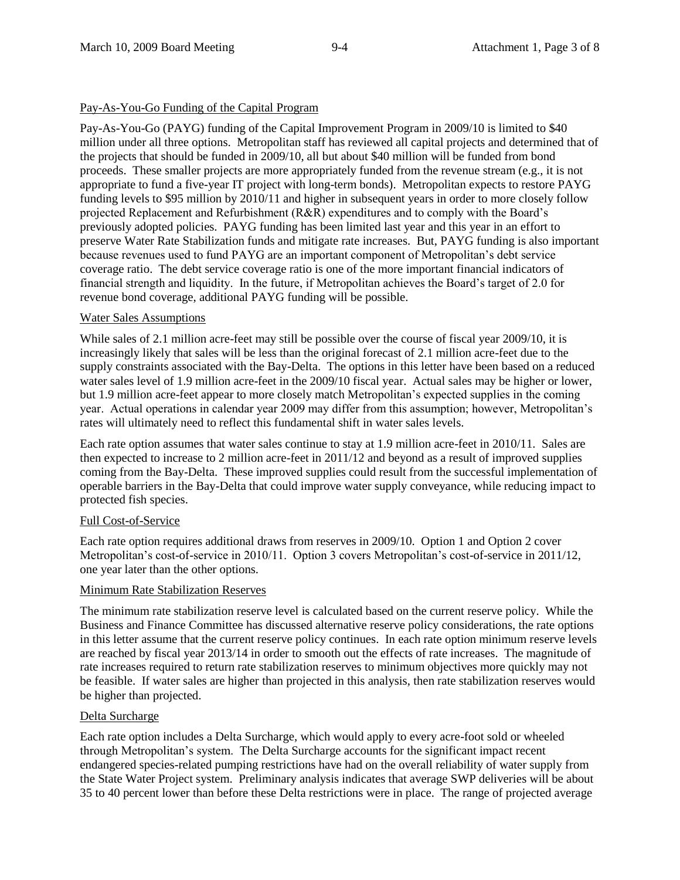#### Pay-As-You-Go Funding of the Capital Program

Pay-As-You-Go (PAYG) funding of the Capital Improvement Program in 2009/10 is limited to \$40 million under all three options. Metropolitan staff has reviewed all capital projects and determined that of the projects that should be funded in 2009/10, all but about \$40 million will be funded from bond proceeds. These smaller projects are more appropriately funded from the revenue stream (e.g., it is not appropriate to fund a five-year IT project with long-term bonds). Metropolitan expects to restore PAYG funding levels to \$95 million by 2010/11 and higher in subsequent years in order to more closely follow projected Replacement and Refurbishment (R&R) expenditures and to comply with the Board's previously adopted policies. PAYG funding has been limited last year and this year in an effort to preserve Water Rate Stabilization funds and mitigate rate increases. But, PAYG funding is also important because revenues used to fund PAYG are an important component of Metropolitan's debt service coverage ratio. The debt service coverage ratio is one of the more important financial indicators of financial strength and liquidity. In the future, if Metropolitan achieves the Board's target of 2.0 for revenue bond coverage, additional PAYG funding will be possible.

#### Water Sales Assumptions

While sales of 2.1 million acre-feet may still be possible over the course of fiscal year 2009/10, it is increasingly likely that sales will be less than the original forecast of 2.1 million acre-feet due to the supply constraints associated with the Bay-Delta. The options in this letter have been based on a reduced water sales level of 1.9 million acre-feet in the 2009/10 fiscal year. Actual sales may be higher or lower, but 1.9 million acre-feet appear to more closely match Metropolitan's expected supplies in the coming year. Actual operations in calendar year 2009 may differ from this assumption; however, Metropolitan's rates will ultimately need to reflect this fundamental shift in water sales levels.

Each rate option assumes that water sales continue to stay at 1.9 million acre-feet in 2010/11. Sales are then expected to increase to 2 million acre-feet in 2011/12 and beyond as a result of improved supplies coming from the Bay-Delta. These improved supplies could result from the successful implementation of operable barriers in the Bay-Delta that could improve water supply conveyance, while reducing impact to protected fish species.

#### Full Cost-of-Service

Each rate option requires additional draws from reserves in 2009/10. Option 1 and Option 2 cover Metropolitan's cost-of-service in 2010/11. Option 3 covers Metropolitan's cost-of-service in 2011/12, one year later than the other options.

#### Minimum Rate Stabilization Reserves

The minimum rate stabilization reserve level is calculated based on the current reserve policy. While the Business and Finance Committee has discussed alternative reserve policy considerations, the rate options in this letter assume that the current reserve policy continues. In each rate option minimum reserve levels are reached by fiscal year 2013/14 in order to smooth out the effects of rate increases. The magnitude of rate increases required to return rate stabilization reserves to minimum objectives more quickly may not be feasible. If water sales are higher than projected in this analysis, then rate stabilization reserves would be higher than projected.

#### Delta Surcharge

Each rate option includes a Delta Surcharge, which would apply to every acre-foot sold or wheeled through Metropolitan's system. The Delta Surcharge accounts for the significant impact recent endangered species-related pumping restrictions have had on the overall reliability of water supply from the State Water Project system. Preliminary analysis indicates that average SWP deliveries will be about 35 to 40 percent lower than before these Delta restrictions were in place. The range of projected average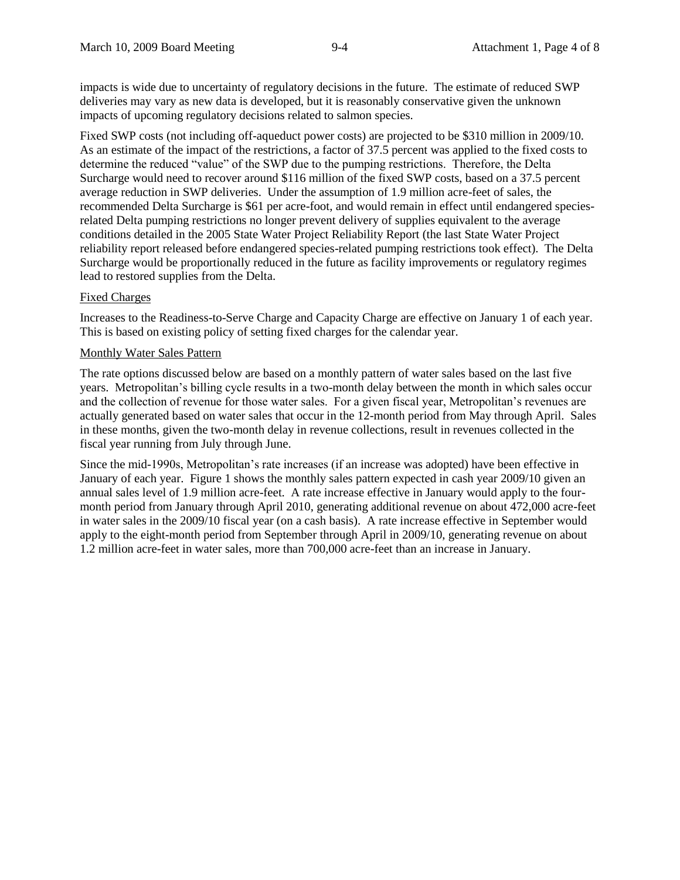impacts is wide due to uncertainty of regulatory decisions in the future. The estimate of reduced SWP deliveries may vary as new data is developed, but it is reasonably conservative given the unknown impacts of upcoming regulatory decisions related to salmon species.

Fixed SWP costs (not including off-aqueduct power costs) are projected to be \$310 million in 2009/10. As an estimate of the impact of the restrictions, a factor of 37.5 percent was applied to the fixed costs to determine the reduced "value" of the SWP due to the pumping restrictions. Therefore, the Delta Surcharge would need to recover around \$116 million of the fixed SWP costs, based on a 37.5 percent average reduction in SWP deliveries. Under the assumption of 1.9 million acre-feet of sales, the recommended Delta Surcharge is \$61 per acre-foot, and would remain in effect until endangered speciesrelated Delta pumping restrictions no longer prevent delivery of supplies equivalent to the average conditions detailed in the 2005 State Water Project Reliability Report (the last State Water Project reliability report released before endangered species-related pumping restrictions took effect). The Delta Surcharge would be proportionally reduced in the future as facility improvements or regulatory regimes lead to restored supplies from the Delta.

#### Fixed Charges

Increases to the Readiness-to-Serve Charge and Capacity Charge are effective on January 1 of each year. This is based on existing policy of setting fixed charges for the calendar year.

#### Monthly Water Sales Pattern

The rate options discussed below are based on a monthly pattern of water sales based on the last five years. Metropolitan's billing cycle results in a two-month delay between the month in which sales occur and the collection of revenue for those water sales. For a given fiscal year, Metropolitan's revenues are actually generated based on water sales that occur in the 12-month period from May through April. Sales in these months, given the two-month delay in revenue collections, result in revenues collected in the fiscal year running from July through June.

Since the mid-1990s, Metropolitan's rate increases (if an increase was adopted) have been effective in January of each year. Figure 1 shows the monthly sales pattern expected in cash year 2009/10 given an annual sales level of 1.9 million acre-feet. A rate increase effective in January would apply to the fourmonth period from January through April 2010, generating additional revenue on about 472,000 acre-feet in water sales in the 2009/10 fiscal year (on a cash basis). A rate increase effective in September would apply to the eight-month period from September through April in 2009/10, generating revenue on about 1.2 million acre-feet in water sales, more than 700,000 acre-feet than an increase in January.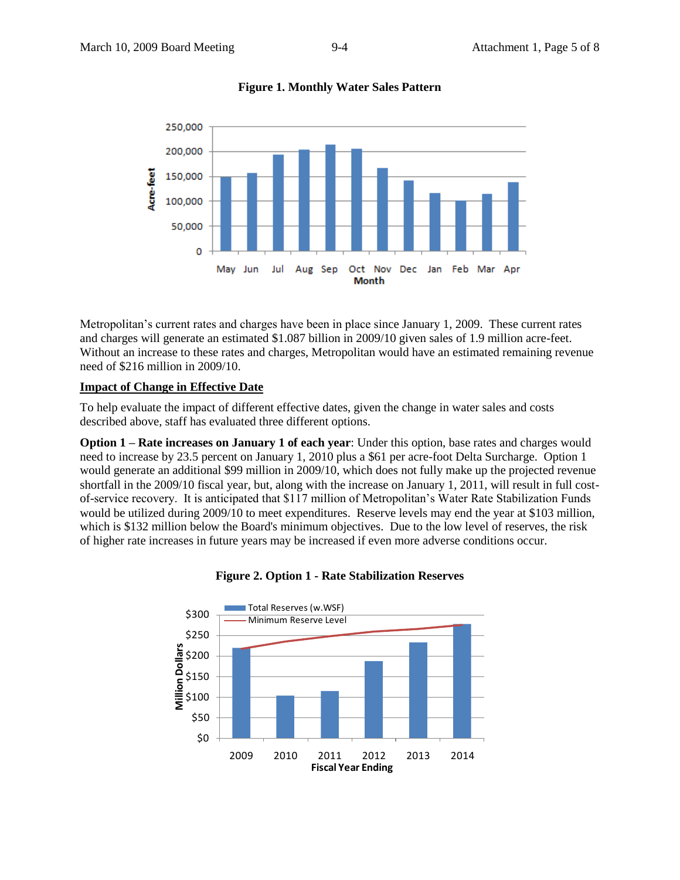

**Figure 1. Monthly Water Sales Pattern**

Metropolitan's current rates and charges have been in place since January 1, 2009. These current rates and charges will generate an estimated \$1.087 billion in 2009/10 given sales of 1.9 million acre-feet. Without an increase to these rates and charges, Metropolitan would have an estimated remaining revenue need of \$216 million in 2009/10.

### **Impact of Change in Effective Date**

To help evaluate the impact of different effective dates, given the change in water sales and costs described above, staff has evaluated three different options.

**Option 1 – Rate increases on January 1 of each year**: Under this option, base rates and charges would need to increase by 23.5 percent on January 1, 2010 plus a \$61 per acre-foot Delta Surcharge. Option 1 would generate an additional \$99 million in 2009/10, which does not fully make up the projected revenue shortfall in the 2009/10 fiscal year, but, along with the increase on January 1, 2011, will result in full costof-service recovery. It is anticipated that \$117 million of Metropolitan's Water Rate Stabilization Funds would be utilized during 2009/10 to meet expenditures. Reserve levels may end the year at \$103 million, which is \$132 million below the Board's minimum objectives. Due to the low level of reserves, the risk of higher rate increases in future years may be increased if even more adverse conditions occur.



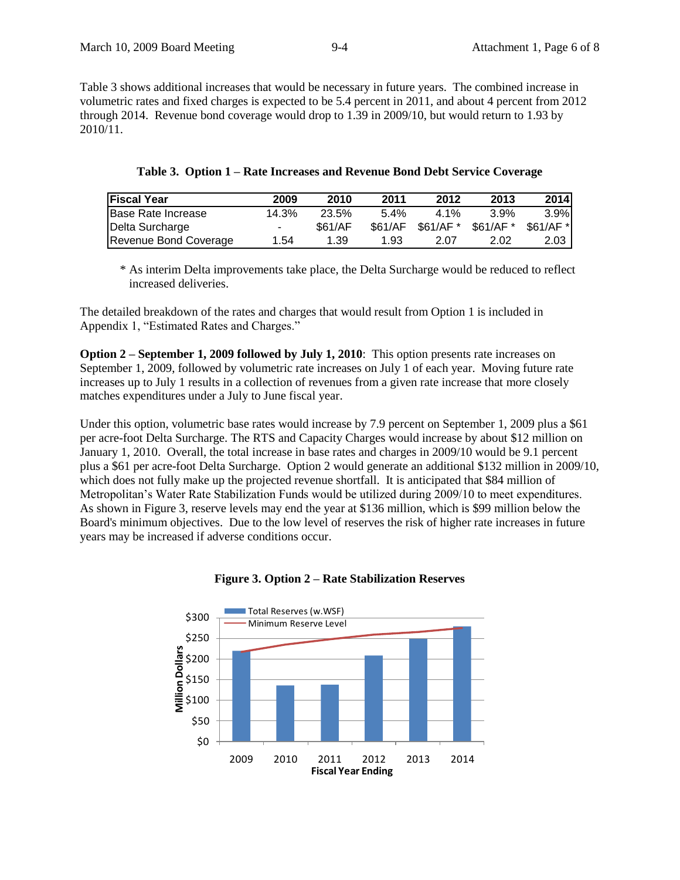Table 3 shows additional increases that would be necessary in future years. The combined increase in volumetric rates and fixed charges is expected to be 5.4 percent in 2011, and about 4 percent from 2012 through 2014. Revenue bond coverage would drop to 1.39 in 2009/10, but would return to 1.93 by 2010/11.

| <b>Fiscal Year</b>    | 2009                     | 2010    | 2011    | 2012      | 2013      | 2014       |
|-----------------------|--------------------------|---------|---------|-----------|-----------|------------|
| Base Rate Increase    | 14.3%                    | 23.5%   | $5.4\%$ | $4.1\%$   | 3.9%      | 3.9%       |
| Delta Surcharge       | $\overline{\phantom{a}}$ | \$61/AF | \$61/AF | \$61/AF * | \$61/AF * | \$61/AF *I |
| Revenue Bond Coverage | 1.54                     | 1.39    | 1.93    | 2.07      | 2.02      | 2.03       |

|  |  | Table 3. Option 1 - Rate Increases and Revenue Bond Debt Service Coverage |  |  |  |  |
|--|--|---------------------------------------------------------------------------|--|--|--|--|
|--|--|---------------------------------------------------------------------------|--|--|--|--|

\* As interim Delta improvements take place, the Delta Surcharge would be reduced to reflect increased deliveries.

The detailed breakdown of the rates and charges that would result from Option 1 is included in Appendix 1, "Estimated Rates and Charges."

**Option 2 – September 1, 2009 followed by July 1, 2010**: This option presents rate increases on September 1, 2009, followed by volumetric rate increases on July 1 of each year. Moving future rate increases up to July 1 results in a collection of revenues from a given rate increase that more closely matches expenditures under a July to June fiscal year.

Under this option, volumetric base rates would increase by 7.9 percent on September 1, 2009 plus a \$61 per acre-foot Delta Surcharge. The RTS and Capacity Charges would increase by about \$12 million on January 1, 2010. Overall, the total increase in base rates and charges in 2009/10 would be 9.1 percent plus a \$61 per acre-foot Delta Surcharge. Option 2 would generate an additional \$132 million in 2009/10, which does not fully make up the projected revenue shortfall. It is anticipated that \$84 million of Metropolitan's Water Rate Stabilization Funds would be utilized during 2009/10 to meet expenditures. As shown in Figure 3, reserve levels may end the year at \$136 million, which is \$99 million below the Board's minimum objectives. Due to the low level of reserves the risk of higher rate increases in future years may be increased if adverse conditions occur.



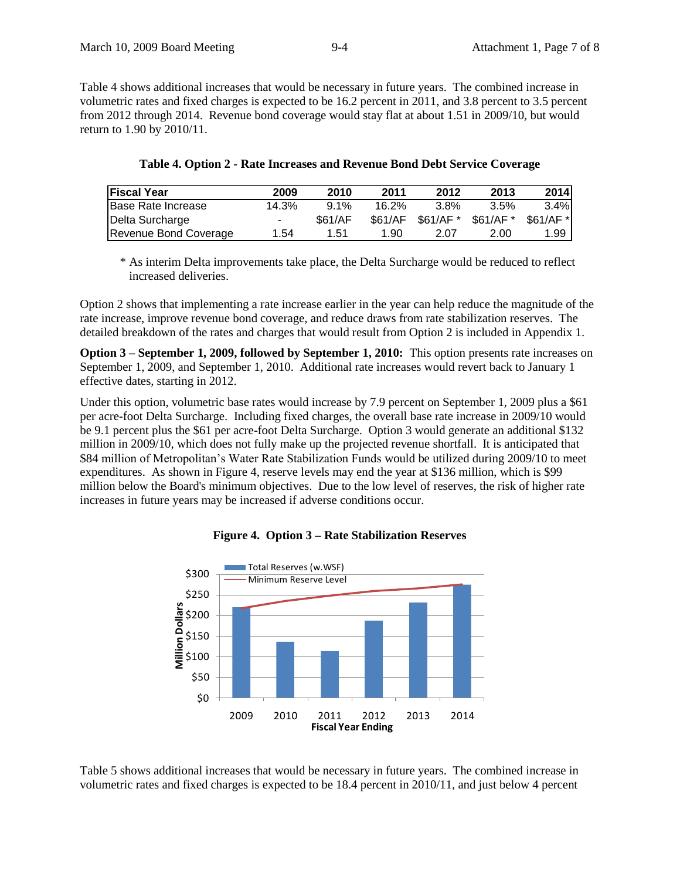Table 4 shows additional increases that would be necessary in future years. The combined increase in volumetric rates and fixed charges is expected to be 16.2 percent in 2011, and 3.8 percent to 3.5 percent from 2012 through 2014. Revenue bond coverage would stay flat at about 1.51 in 2009/10, but would return to 1.90 by 2010/11.

| <b>Fiscal Year</b>         | 2009  | 2010    | 2011    | 2012      | 2013      | <b>2014</b> |
|----------------------------|-------|---------|---------|-----------|-----------|-------------|
| <b>IBase Rate Increase</b> | 14.3% | $9.1\%$ | 16.2%   | 3.8%      | 3.5%      | 3.4%        |
| Delta Surcharge            | ۰     | \$61/AF | \$61/AF | \$61/AF * | \$61/AF * | \$61/AF *   |
| Revenue Bond Coverage      | 1.54  | 1.51    | 1.90    | 2.07      | 2.00      | 1.99        |

| Table 4. Option 2 - Rate Increases and Revenue Bond Debt Service Coverage |  |  |  |  |  |  |
|---------------------------------------------------------------------------|--|--|--|--|--|--|
|---------------------------------------------------------------------------|--|--|--|--|--|--|

\* As interim Delta improvements take place, the Delta Surcharge would be reduced to reflect increased deliveries.

Option 2 shows that implementing a rate increase earlier in the year can help reduce the magnitude of the rate increase, improve revenue bond coverage, and reduce draws from rate stabilization reserves. The detailed breakdown of the rates and charges that would result from Option 2 is included in Appendix 1.

**Option 3 – September 1, 2009, followed by September 1, 2010:** This option presents rate increases on September 1, 2009, and September 1, 2010. Additional rate increases would revert back to January 1 effective dates, starting in 2012.

Under this option, volumetric base rates would increase by 7.9 percent on September 1, 2009 plus a \$61 per acre-foot Delta Surcharge. Including fixed charges, the overall base rate increase in 2009/10 would be 9.1 percent plus the \$61 per acre-foot Delta Surcharge. Option 3 would generate an additional \$132 million in 2009/10, which does not fully make up the projected revenue shortfall. It is anticipated that \$84 million of Metropolitan's Water Rate Stabilization Funds would be utilized during 2009/10 to meet expenditures. As shown in Figure 4, reserve levels may end the year at \$136 million, which is \$99 million below the Board's minimum objectives. Due to the low level of reserves, the risk of higher rate increases in future years may be increased if adverse conditions occur.



### **Figure 4. Option 3 – Rate Stabilization Reserves**

Table 5 shows additional increases that would be necessary in future years. The combined increase in volumetric rates and fixed charges is expected to be 18.4 percent in 2010/11, and just below 4 percent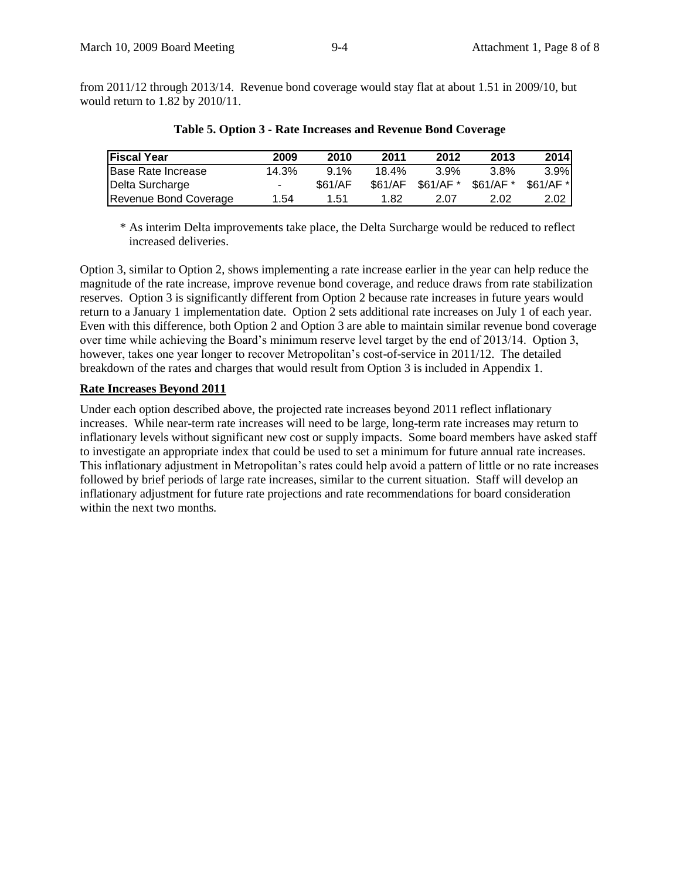from 2011/12 through 2013/14. Revenue bond coverage would stay flat at about 1.51 in 2009/10, but would return to 1.82 by 2010/11.

| <b>Fiscal Year</b>    | 2009   | 2010    | 2011    | 2012      | 2013       | 2014       |
|-----------------------|--------|---------|---------|-----------|------------|------------|
| Base Rate Increase    | 14.3%  | 91%     | 18.4%   | $3.9\%$   | 3.8%       | 3.9%       |
| Delta Surcharge       | $\sim$ | \$61/AF | \$61/AF | \$61/AF * | $$61/AF$ * | $$61/AF$ * |
| Revenue Bond Coverage | 1.54   | 1.51    | 1.82    | 2.07      | 2.02       | 2.02       |

**Table 5. Option 3 - Rate Increases and Revenue Bond Coverage**

\* As interim Delta improvements take place, the Delta Surcharge would be reduced to reflect increased deliveries.

Option 3, similar to Option 2, shows implementing a rate increase earlier in the year can help reduce the magnitude of the rate increase, improve revenue bond coverage, and reduce draws from rate stabilization reserves. Option 3 is significantly different from Option 2 because rate increases in future years would return to a January 1 implementation date. Option 2 sets additional rate increases on July 1 of each year. Even with this difference, both Option 2 and Option 3 are able to maintain similar revenue bond coverage over time while achieving the Board's minimum reserve level target by the end of 2013/14. Option 3, however, takes one year longer to recover Metropolitan's cost-of-service in 2011/12. The detailed breakdown of the rates and charges that would result from Option 3 is included in Appendix 1.

#### **Rate Increases Beyond 2011**

Under each option described above, the projected rate increases beyond 2011 reflect inflationary increases. While near-term rate increases will need to be large, long-term rate increases may return to inflationary levels without significant new cost or supply impacts. Some board members have asked staff to investigate an appropriate index that could be used to set a minimum for future annual rate increases. This inflationary adjustment in Metropolitan's rates could help avoid a pattern of little or no rate increases followed by brief periods of large rate increases, similar to the current situation. Staff will develop an inflationary adjustment for future rate projections and rate recommendations for board consideration within the next two months.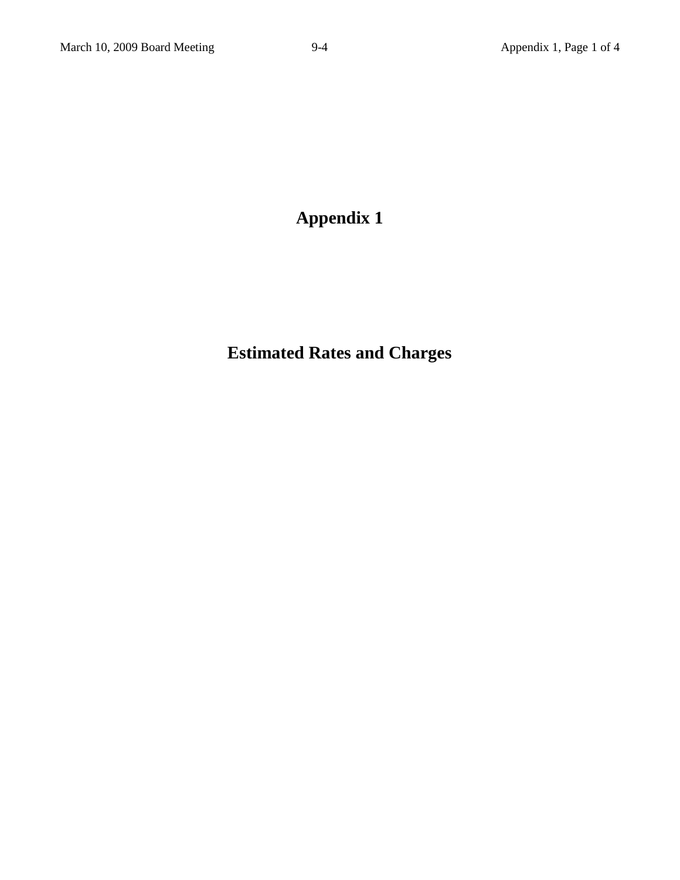# **Appendix 1**

# **Estimated Rates and Charges**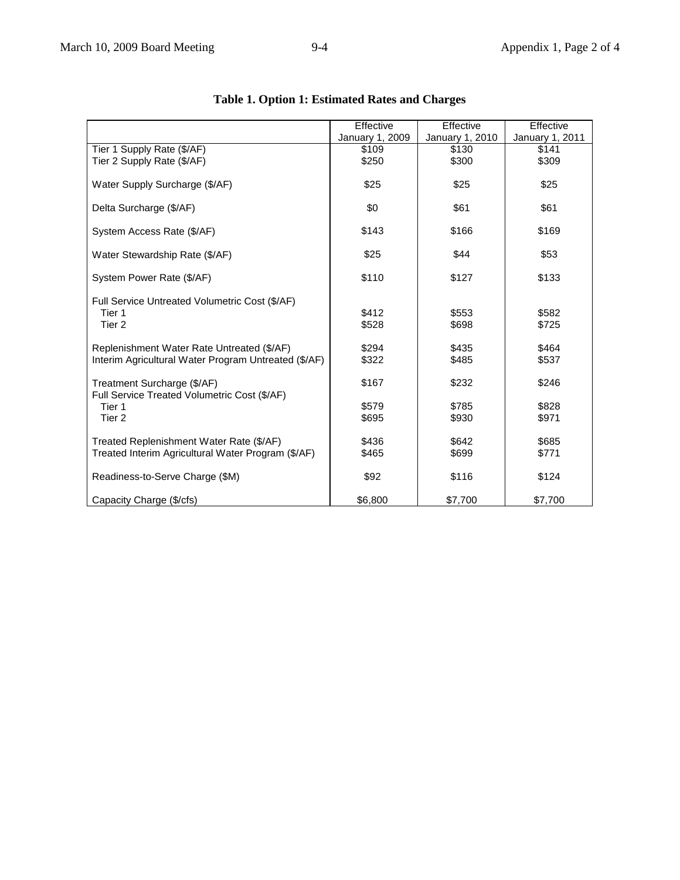|                                                      | Effective       | Effective       | Effective       |
|------------------------------------------------------|-----------------|-----------------|-----------------|
|                                                      | January 1, 2009 | January 1, 2010 | January 1, 2011 |
| Tier 1 Supply Rate (\$/AF)                           | \$109           | \$130           | \$141           |
| Tier 2 Supply Rate (\$/AF)                           | \$250           | \$300           | \$309           |
|                                                      |                 |                 |                 |
| Water Supply Surcharge (\$/AF)                       | \$25            | \$25            | \$25            |
|                                                      |                 |                 |                 |
| Delta Surcharge (\$/AF)                              | \$0             | \$61            | \$61            |
|                                                      |                 |                 |                 |
| System Access Rate (\$/AF)                           | \$143           | \$166           | \$169           |
|                                                      |                 |                 |                 |
| Water Stewardship Rate (\$/AF)                       | \$25            | \$44            | \$53            |
|                                                      |                 |                 |                 |
| System Power Rate (\$/AF)                            | \$110           | \$127           | \$133           |
|                                                      |                 |                 |                 |
| Full Service Untreated Volumetric Cost (\$/AF)       |                 |                 |                 |
| Tier 1                                               | \$412           | \$553           | \$582           |
| Tier 2                                               | \$528           | \$698           | \$725           |
|                                                      |                 |                 |                 |
| Replenishment Water Rate Untreated (\$/AF)           | \$294           | \$435           | \$464           |
| Interim Agricultural Water Program Untreated (\$/AF) | \$322           | \$485           | \$537           |
|                                                      |                 |                 |                 |
| Treatment Surcharge (\$/AF)                          | \$167           | \$232           | \$246           |
| Full Service Treated Volumetric Cost (\$/AF)         |                 |                 |                 |
| Tier 1                                               | \$579           | \$785           | \$828           |
| Tier <sub>2</sub>                                    | \$695           | \$930           | \$971           |
|                                                      |                 |                 |                 |
| Treated Replenishment Water Rate (\$/AF)             | \$436           | \$642           | \$685           |
| Treated Interim Agricultural Water Program (\$/AF)   | \$465           | \$699           | \$771           |
|                                                      |                 |                 |                 |
| Readiness-to-Serve Charge (\$M)                      | \$92            | \$116           | \$124           |
|                                                      |                 |                 |                 |
|                                                      | \$6,800         | \$7,700         | \$7,700         |
| Capacity Charge (\$/cfs)                             |                 |                 |                 |

## **Table 1. Option 1: Estimated Rates and Charges**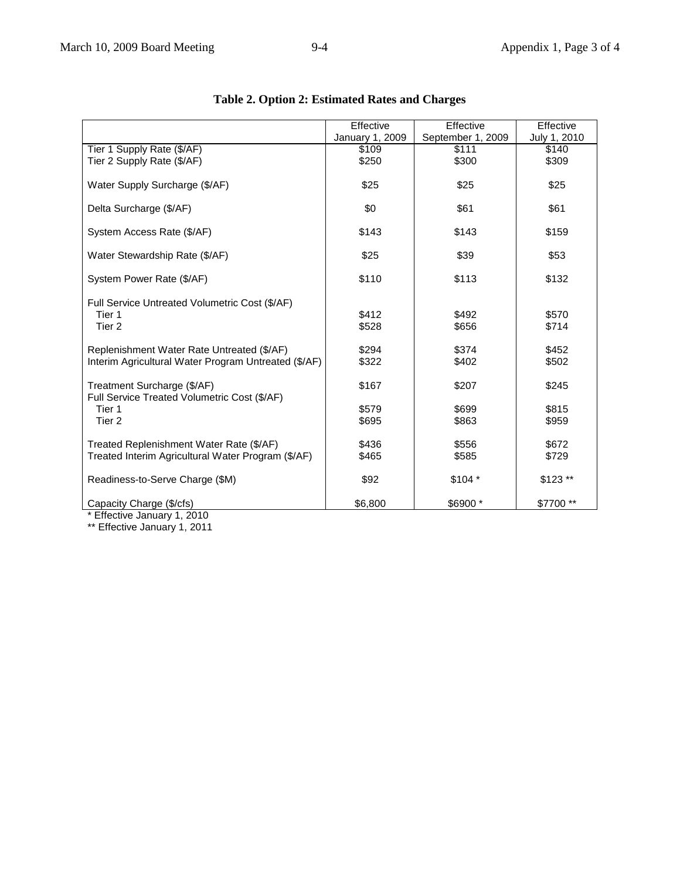|                                                                                                    | Effective       | Effective         | Effective      |
|----------------------------------------------------------------------------------------------------|-----------------|-------------------|----------------|
|                                                                                                    | January 1, 2009 | September 1, 2009 | July 1, 2010   |
| Tier 1 Supply Rate (\$/AF)                                                                         | \$109           | \$111             | \$140          |
| Tier 2 Supply Rate (\$/AF)                                                                         | \$250           | \$300             | \$309          |
| Water Supply Surcharge (\$/AF)                                                                     | \$25            | \$25              | \$25           |
| Delta Surcharge (\$/AF)                                                                            | \$0             | \$61              | \$61           |
| System Access Rate (\$/AF)                                                                         | \$143           | \$143             | \$159          |
| Water Stewardship Rate (\$/AF)                                                                     | \$25            | \$39              | \$53           |
| System Power Rate (\$/AF)                                                                          | \$110           | \$113             | \$132          |
| Full Service Untreated Volumetric Cost (\$/AF)<br>Tier 1<br>Tier <sub>2</sub>                      | \$412<br>\$528  | \$492<br>\$656    | \$570<br>\$714 |
| Replenishment Water Rate Untreated (\$/AF)<br>Interim Agricultural Water Program Untreated (\$/AF) | \$294<br>\$322  | \$374<br>\$402    | \$452<br>\$502 |
|                                                                                                    |                 |                   |                |
| Treatment Surcharge (\$/AF)<br>Full Service Treated Volumetric Cost (\$/AF)                        | \$167           | \$207             | \$245          |
| Tier 1                                                                                             | \$579           | \$699             | \$815          |
| Tier <sub>2</sub>                                                                                  | \$695           | \$863             | \$959          |
|                                                                                                    |                 |                   |                |
| Treated Replenishment Water Rate (\$/AF)                                                           | \$436           | \$556             | \$672          |
| Treated Interim Agricultural Water Program (\$/AF)                                                 | \$465           | \$585             | \$729          |
| Readiness-to-Serve Charge (\$M)                                                                    | \$92            | $$104*$           | $$123$ **      |
| Capacity Charge (\$/cfs)                                                                           | \$6,800         | \$6900 *          | \$7700**       |
| * Effective January 1, 2010                                                                        |                 |                   |                |

## **Table 2. Option 2: Estimated Rates and Charges**

\* Effective January 1, 2010

\*\* Effective January 1, 2011